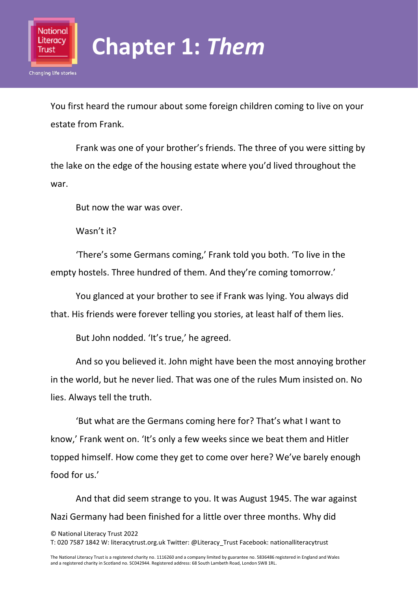

## **Chapter 1:** *Them*

You first heard the rumour about some foreign children coming to live on your estate from Frank.

Frank was one of your brother's friends. The three of you were sitting by the lake on the edge of the housing estate where you'd lived throughout the war.

But now the war was over.

Wasn't it?

'There's some Germans coming,' Frank told you both. 'To live in the empty hostels. Three hundred of them. And they're coming tomorrow.'

You glanced at your brother to see if Frank was lying. You always did that. His friends were forever telling you stories, at least half of them lies.

But John nodded. 'It's true,' he agreed.

And so you believed it. John might have been the most annoying brother in the world, but he never lied. That was one of the rules Mum insisted on. No lies. Always tell the truth.

'But what are the Germans coming here for? That's what I want to know,' Frank went on. 'It's only a few weeks since we beat them and Hitler topped himself. How come they get to come over here? We've barely enough food for us.'

And that did seem strange to you. It was August 1945. The war against Nazi Germany had been finished for a little over three months. Why did

© National Literacy Trust 2022

T: 020 7587 1842 W: literacytrust.org.uk Twitter: @Literacy\_Trust Facebook: nationalliteracytrust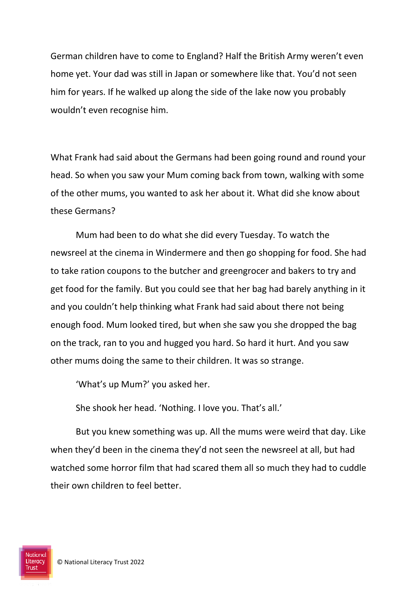German children have to come to England? Half the British Army weren't even home yet. Your dad was still in Japan or somewhere like that. You'd not seen him for years. If he walked up along the side of the lake now you probably wouldn't even recognise him.

What Frank had said about the Germans had been going round and round your head. So when you saw your Mum coming back from town, walking with some of the other mums, you wanted to ask her about it. What did she know about these Germans?

Mum had been to do what she did every Tuesday. To watch the newsreel at the cinema in Windermere and then go shopping for food. She had to take ration coupons to the butcher and greengrocer and bakers to try and get food for the family. But you could see that her bag had barely anything in it and you couldn't help thinking what Frank had said about there not being enough food. Mum looked tired, but when she saw you she dropped the bag on the track, ran to you and hugged you hard. So hard it hurt. And you saw other mums doing the same to their children. It was so strange.

'What's up Mum?' you asked her.

She shook her head. 'Nothing. I love you. That's all.'

But you knew something was up. All the mums were weird that day. Like when they'd been in the cinema they'd not seen the newsreel at all, but had watched some horror film that had scared them all so much they had to cuddle their own children to feel better.

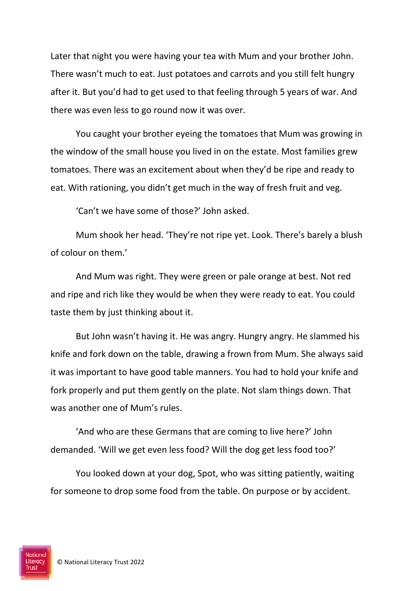Later that night you were having your tea with Mum and your brother John. There wasn't much to eat. Just potatoes and carrots and you still felt hungry after it. But you'd had to get used to that feeling through 5 years of war. And there was even less to go round now it was over.

You caught your brother eyeing the tomatoes that Mum was growing in the window of the small house you lived in on the estate. Most families grew tomatoes. There was an excitement about when they'd be ripe and ready to eat. With rationing, you didn't get much in the way of fresh fruit and veg.

'Can't we have some of those?' John asked.

Mum shook her head. 'They're not ripe yet. Look. There's barely a blush of colour on them.'

And Mum was right. They were green or pale orange at best. Not red and ripe and rich like they would be when they were ready to eat. You could taste them by just thinking about it.

But John wasn't having it. He was angry. Hungry angry. He slammed his knife and fork down on the table, drawing a frown from Mum. She always said it was important to have good table manners. You had to hold your knife and fork properly and put them gently on the plate. Not slam things down. That was another one of Mum's rules.

'And who are these Germans that are coming to live here?' John demanded. 'Will we get even less food? Will the dog get less food too?'

You looked down at your dog, Spot, who was sitting patiently, waiting for someone to drop some food from the table. On purpose or by accident.

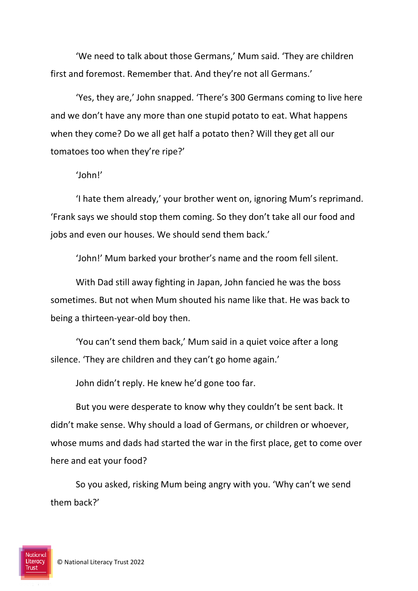'We need to talk about those Germans,' Mum said. 'They are children first and foremost. Remember that. And they're not all Germans.'

'Yes, they are,' John snapped. 'There's 300 Germans coming to live here and we don't have any more than one stupid potato to eat. What happens when they come? Do we all get half a potato then? Will they get all our tomatoes too when they're ripe?'

#### 'John!'

'I hate them already,' your brother went on, ignoring Mum's reprimand. 'Frank says we should stop them coming. So they don't take all our food and jobs and even our houses. We should send them back.'

'John!' Mum barked your brother's name and the room fell silent.

With Dad still away fighting in Japan, John fancied he was the boss sometimes. But not when Mum shouted his name like that. He was back to being a thirteen-year-old boy then.

'You can't send them back,' Mum said in a quiet voice after a long silence. 'They are children and they can't go home again.'

John didn't reply. He knew he'd gone too far.

But you were desperate to know why they couldn't be sent back. It didn't make sense. Why should a load of Germans, or children or whoever, whose mums and dads had started the war in the first place, get to come over here and eat your food?

So you asked, risking Mum being angry with you. 'Why can't we send them back?'

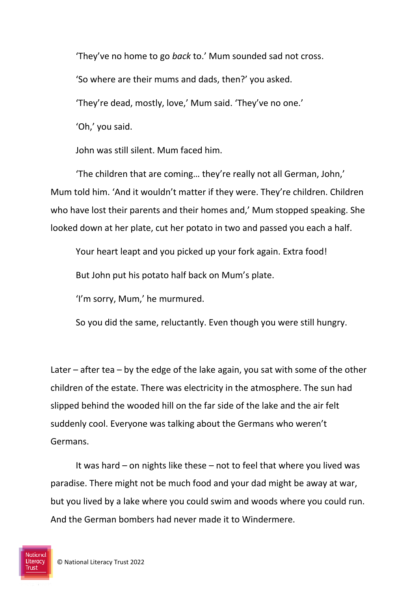'They've no home to go *back* to.' Mum sounded sad not cross. 'So where are their mums and dads, then?' you asked. 'They're dead, mostly, love,' Mum said. 'They've no one.' 'Oh,' you said.

John was still silent. Mum faced him.

'The children that are coming… they're really not all German, John,' Mum told him. 'And it wouldn't matter if they were. They're children. Children who have lost their parents and their homes and,' Mum stopped speaking. She looked down at her plate, cut her potato in two and passed you each a half.

Your heart leapt and you picked up your fork again. Extra food!

But John put his potato half back on Mum's plate.

'I'm sorry, Mum,' he murmured.

So you did the same, reluctantly. Even though you were still hungry.

Later – after tea – by the edge of the lake again, you sat with some of the other children of the estate. There was electricity in the atmosphere. The sun had slipped behind the wooded hill on the far side of the lake and the air felt suddenly cool. Everyone was talking about the Germans who weren't Germans.

It was hard – on nights like these – not to feel that where you lived was paradise. There might not be much food and your dad might be away at war, but you lived by a lake where you could swim and woods where you could run. And the German bombers had never made it to Windermere.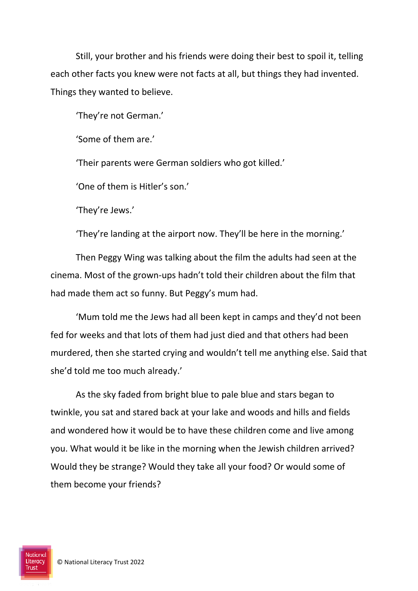Still, your brother and his friends were doing their best to spoil it, telling each other facts you knew were not facts at all, but things they had invented. Things they wanted to believe.

'They're not German.'

'Some of them are.'

'Their parents were German soldiers who got killed.'

'One of them is Hitler's son.'

'They're Jews.'

'They're landing at the airport now. They'll be here in the morning.'

Then Peggy Wing was talking about the film the adults had seen at the cinema. Most of the grown-ups hadn't told their children about the film that had made them act so funny. But Peggy's mum had.

'Mum told me the Jews had all been kept in camps and they'd not been fed for weeks and that lots of them had just died and that others had been murdered, then she started crying and wouldn't tell me anything else. Said that she'd told me too much already.'

As the sky faded from bright blue to pale blue and stars began to twinkle, you sat and stared back at your lake and woods and hills and fields and wondered how it would be to have these children come and live among you. What would it be like in the morning when the Jewish children arrived? Would they be strange? Would they take all your food? Or would some of them become your friends?

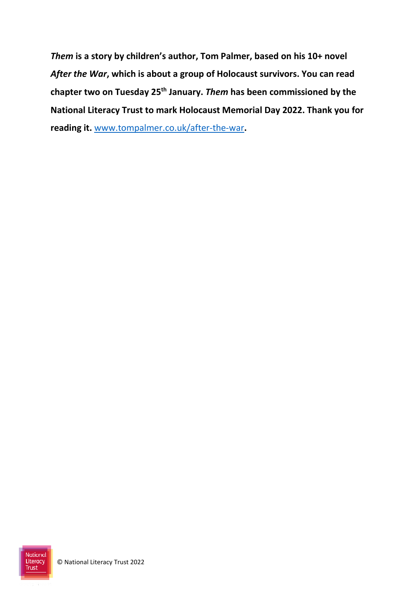*Them* **is a story by children's author, Tom Palmer, based on his 10+ novel**  *After the War***, which is about a group of Holocaust survivors. You can read chapter two on Tuesday 25th January.** *Them* **has been commissioned by the National Literacy Trust to mark Holocaust Memorial Day 2022. Thank you for reading it.** [www.tompalmer.co.uk/after-the-war](http://www.tompalmer.co.uk/after-the-war)**.** 

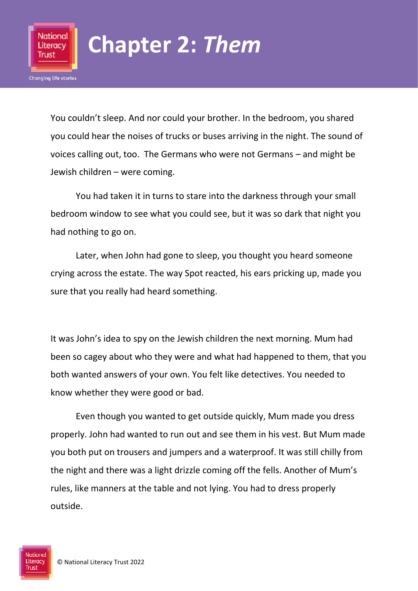

### **Chapter 2:** *Them*

You couldn't sleep. And nor could your brother. In the bedroom, you shared you could hear the noises of trucks or buses arriving in the night. The sound of voices calling out, too. The Germans who were not Germans – and might be Jewish children – were coming.

You had taken it in turns to stare into the darkness through your small bedroom window to see what you could see, but it was so dark that night you had nothing to go on.

Later, when John had gone to sleep, you thought you heard someone crying across the estate. The way Spot reacted, his ears pricking up, made you sure that you really had heard something.

It was John's idea to spy on the Jewish children the next morning. Mum had been so cagey about who they were and what had happened to them, that you both wanted answers of your own. You felt like detectives. You needed to know whether they were good or bad.

Even though you wanted to get outside quickly, Mum made you dress properly. John had wanted to run out and see them in his vest. But Mum made you both put on trousers and jumpers and a waterproof. It was still chilly from the night and there was a light drizzle coming off the fells. Another of Mum's rules, like manners at the table and not lying. You had to dress properly outside.

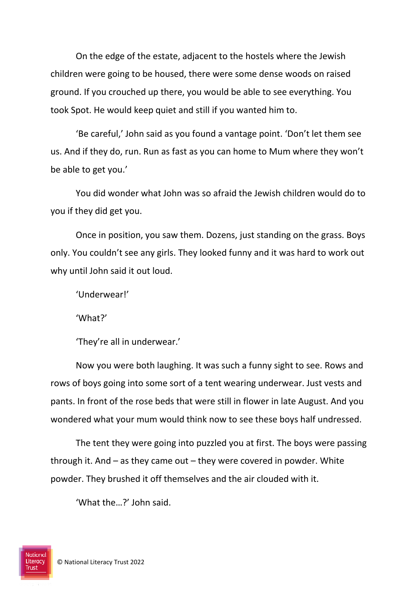On the edge of the estate, adjacent to the hostels where the Jewish children were going to be housed, there were some dense woods on raised ground. If you crouched up there, you would be able to see everything. You took Spot. He would keep quiet and still if you wanted him to.

'Be careful,' John said as you found a vantage point. 'Don't let them see us. And if they do, run. Run as fast as you can home to Mum where they won't be able to get you.'

You did wonder what John was so afraid the Jewish children would do to you if they did get you.

Once in position, you saw them. Dozens, just standing on the grass. Boys only. You couldn't see any girls. They looked funny and it was hard to work out why until John said it out loud.

'Underwear!'

'What?'

'They're all in underwear.'

Now you were both laughing. It was such a funny sight to see. Rows and rows of boys going into some sort of a tent wearing underwear. Just vests and pants. In front of the rose beds that were still in flower in late August. And you wondered what your mum would think now to see these boys half undressed.

The tent they were going into puzzled you at first. The boys were passing through it. And  $-$  as they came out  $-$  they were covered in powder. White powder. They brushed it off themselves and the air clouded with it.

'What the…?' John said.

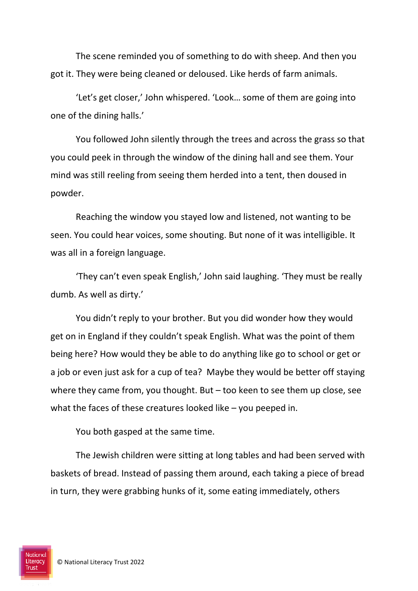The scene reminded you of something to do with sheep. And then you got it. They were being cleaned or deloused. Like herds of farm animals.

'Let's get closer,' John whispered. 'Look… some of them are going into one of the dining halls.'

You followed John silently through the trees and across the grass so that you could peek in through the window of the dining hall and see them. Your mind was still reeling from seeing them herded into a tent, then doused in powder.

Reaching the window you stayed low and listened, not wanting to be seen. You could hear voices, some shouting. But none of it was intelligible. It was all in a foreign language.

'They can't even speak English,' John said laughing. 'They must be really dumb. As well as dirty.'

You didn't reply to your brother. But you did wonder how they would get on in England if they couldn't speak English. What was the point of them being here? How would they be able to do anything like go to school or get or a job or even just ask for a cup of tea? Maybe they would be better off staying where they came from, you thought. But – too keen to see them up close, see what the faces of these creatures looked like – you peeped in.

You both gasped at the same time.

The Jewish children were sitting at long tables and had been served with baskets of bread. Instead of passing them around, each taking a piece of bread in turn, they were grabbing hunks of it, some eating immediately, others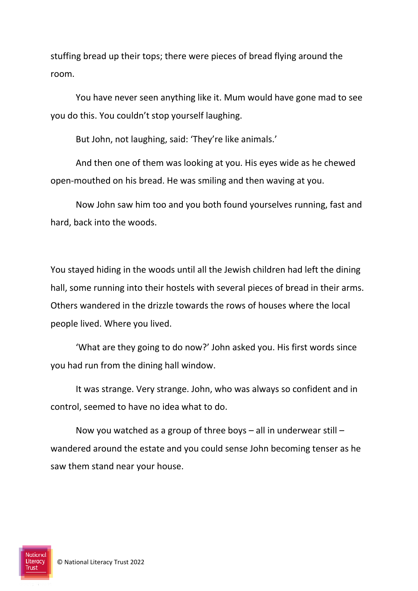stuffing bread up their tops; there were pieces of bread flying around the room.

You have never seen anything like it. Mum would have gone mad to see you do this. You couldn't stop yourself laughing.

But John, not laughing, said: 'They're like animals.'

And then one of them was looking at you. His eyes wide as he chewed open-mouthed on his bread. He was smiling and then waving at you.

Now John saw him too and you both found yourselves running, fast and hard, back into the woods.

You stayed hiding in the woods until all the Jewish children had left the dining hall, some running into their hostels with several pieces of bread in their arms. Others wandered in the drizzle towards the rows of houses where the local people lived. Where you lived.

'What are they going to do now?' John asked you. His first words since you had run from the dining hall window.

It was strange. Very strange. John, who was always so confident and in control, seemed to have no idea what to do.

Now you watched as a group of three boys – all in underwear still – wandered around the estate and you could sense John becoming tenser as he saw them stand near your house.

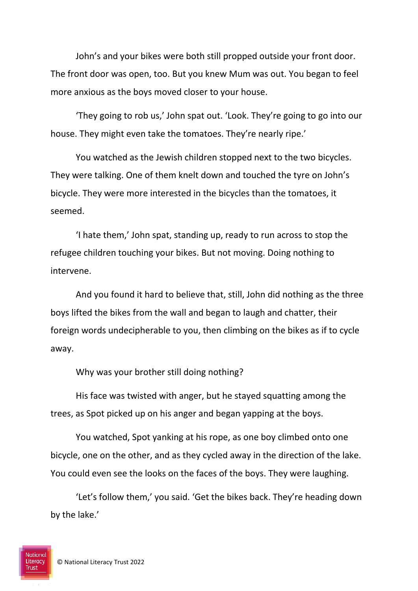John's and your bikes were both still propped outside your front door. The front door was open, too. But you knew Mum was out. You began to feel more anxious as the boys moved closer to your house.

'They going to rob us,' John spat out. 'Look. They're going to go into our house. They might even take the tomatoes. They're nearly ripe.'

You watched as the Jewish children stopped next to the two bicycles. They were talking. One of them knelt down and touched the tyre on John's bicycle. They were more interested in the bicycles than the tomatoes, it seemed.

'I hate them,' John spat, standing up, ready to run across to stop the refugee children touching your bikes. But not moving. Doing nothing to intervene.

And you found it hard to believe that, still, John did nothing as the three boys lifted the bikes from the wall and began to laugh and chatter, their foreign words undecipherable to you, then climbing on the bikes as if to cycle away.

Why was your brother still doing nothing?

His face was twisted with anger, but he stayed squatting among the trees, as Spot picked up on his anger and began yapping at the boys.

You watched, Spot yanking at his rope, as one boy climbed onto one bicycle, one on the other, and as they cycled away in the direction of the lake. You could even see the looks on the faces of the boys. They were laughing.

'Let's follow them,' you said. 'Get the bikes back. They're heading down by the lake.'

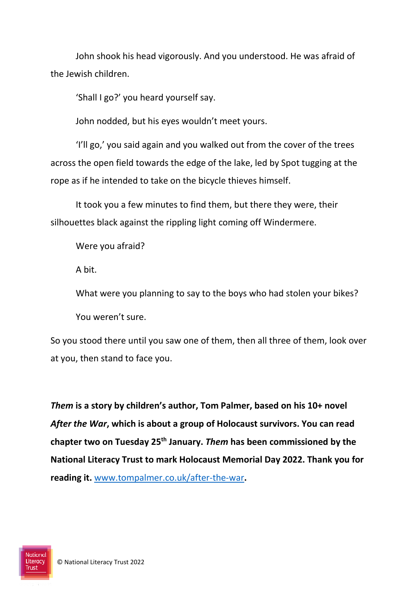John shook his head vigorously. And you understood. He was afraid of the Jewish children.

'Shall I go?' you heard yourself say.

John nodded, but his eyes wouldn't meet yours.

'I'll go,' you said again and you walked out from the cover of the trees across the open field towards the edge of the lake, led by Spot tugging at the rope as if he intended to take on the bicycle thieves himself.

It took you a few minutes to find them, but there they were, their silhouettes black against the rippling light coming off Windermere.

Were you afraid?

A bit.

What were you planning to say to the boys who had stolen your bikes?

You weren't sure.

So you stood there until you saw one of them, then all three of them, look over at you, then stand to face you.

*Them* **is a story by children's author, Tom Palmer, based on his 10+ novel**  *After the War***, which is about a group of Holocaust survivors. You can read chapter two on Tuesday 25th January.** *Them* **has been commissioned by the National Literacy Trust to mark Holocaust Memorial Day 2022. Thank you for reading it.** [www.tompalmer.co.uk/after-the-war](http://www.tompalmer.co.uk/after-the-war)**.** 

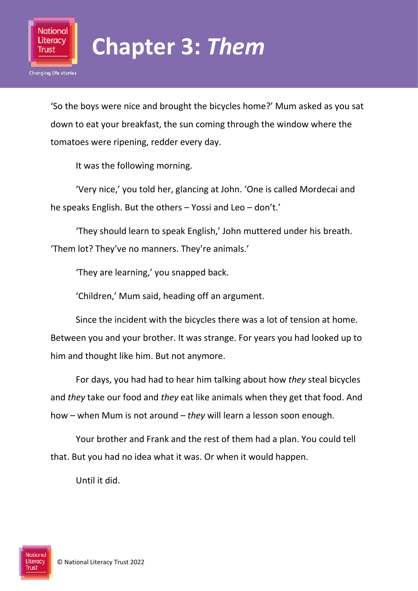

#### **Chapter 3:** *Them*

'So the boys were nice and brought the bicycles home?' Mum asked as you sat down to eat your breakfast, the sun coming through the window where the tomatoes were ripening, redder every day.

It was the following morning.

'Very nice,' you told her, glancing at John. 'One is called Mordecai and he speaks English. But the others – Yossi and Leo – don't.'

'They should learn to speak English,' John muttered under his breath. 'Them lot? They've no manners. They're animals.'

'They are learning,' you snapped back.

'Children,' Mum said, heading off an argument.

Since the incident with the bicycles there was a lot of tension at home. Between you and your brother. It was strange. For years you had looked up to him and thought like him. But not anymore.

For days, you had had to hear him talking about how *they* steal bicycles and *they* take our food and *they* eat like animals when they get that food. And how – when Mum is not around – *they* will learn a lesson soon enough.

Your brother and Frank and the rest of them had a plan. You could tell that. But you had no idea what it was. Or when it would happen.

Until it did.

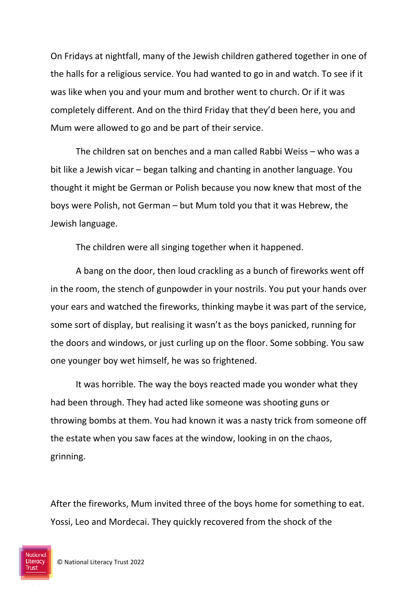On Fridays at nightfall, many of the Jewish children gathered together in one of the halls for a religious service. You had wanted to go in and watch. To see if it was like when you and your mum and brother went to church. Or if it was completely different. And on the third Friday that they'd been here, you and Mum were allowed to go and be part of their service.

The children sat on benches and a man called Rabbi Weiss – who was a bit like a Jewish vicar – began talking and chanting in another language. You thought it might be German or Polish because you now knew that most of the boys were Polish, not German – but Mum told you that it was Hebrew, the Jewish language.

The children were all singing together when it happened.

A bang on the door, then loud crackling as a bunch of fireworks went off in the room, the stench of gunpowder in your nostrils. You put your hands over your ears and watched the fireworks, thinking maybe it was part of the service, some sort of display, but realising it wasn't as the boys panicked, running for the doors and windows, or just curling up on the floor. Some sobbing. You saw one younger boy wet himself, he was so frightened.

It was horrible. The way the boys reacted made you wonder what they had been through. They had acted like someone was shooting guns or throwing bombs at them. You had known it was a nasty trick from someone off the estate when you saw faces at the window, looking in on the chaos, grinning.

After the fireworks, Mum invited three of the boys home for something to eat. Yossi, Leo and Mordecai. They quickly recovered from the shock of the

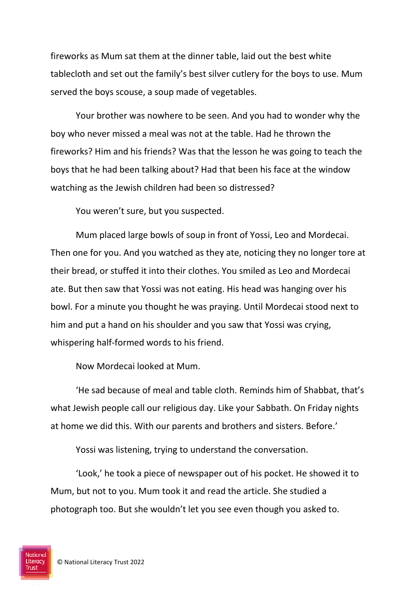fireworks as Mum sat them at the dinner table, laid out the best white tablecloth and set out the family's best silver cutlery for the boys to use. Mum served the boys scouse, a soup made of vegetables.

Your brother was nowhere to be seen. And you had to wonder why the boy who never missed a meal was not at the table. Had he thrown the fireworks? Him and his friends? Was that the lesson he was going to teach the boys that he had been talking about? Had that been his face at the window watching as the Jewish children had been so distressed?

You weren't sure, but you suspected.

Mum placed large bowls of soup in front of Yossi, Leo and Mordecai. Then one for you. And you watched as they ate, noticing they no longer tore at their bread, or stuffed it into their clothes. You smiled as Leo and Mordecai ate. But then saw that Yossi was not eating. His head was hanging over his bowl. For a minute you thought he was praying. Until Mordecai stood next to him and put a hand on his shoulder and you saw that Yossi was crying, whispering half-formed words to his friend.

Now Mordecai looked at Mum.

'He sad because of meal and table cloth. Reminds him of Shabbat, that's what Jewish people call our religious day. Like your Sabbath. On Friday nights at home we did this. With our parents and brothers and sisters. Before.'

Yossi was listening, trying to understand the conversation.

'Look,' he took a piece of newspaper out of his pocket. He showed it to Mum, but not to you. Mum took it and read the article. She studied a photograph too. But she wouldn't let you see even though you asked to.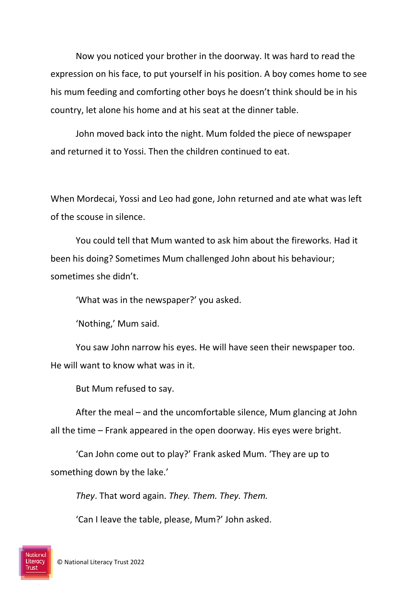Now you noticed your brother in the doorway. It was hard to read the expression on his face, to put yourself in his position. A boy comes home to see his mum feeding and comforting other boys he doesn't think should be in his country, let alone his home and at his seat at the dinner table.

John moved back into the night. Mum folded the piece of newspaper and returned it to Yossi. Then the children continued to eat.

When Mordecai, Yossi and Leo had gone, John returned and ate what was left of the scouse in silence.

You could tell that Mum wanted to ask him about the fireworks. Had it been his doing? Sometimes Mum challenged John about his behaviour; sometimes she didn't.

'What was in the newspaper?' you asked.

'Nothing,' Mum said.

You saw John narrow his eyes. He will have seen their newspaper too. He will want to know what was in it.

But Mum refused to say.

After the meal – and the uncomfortable silence, Mum glancing at John all the time – Frank appeared in the open doorway. His eyes were bright.

'Can John come out to play?' Frank asked Mum. 'They are up to something down by the lake.'

*They*. That word again. *They. Them. They. Them.*

'Can I leave the table, please, Mum?' John asked.

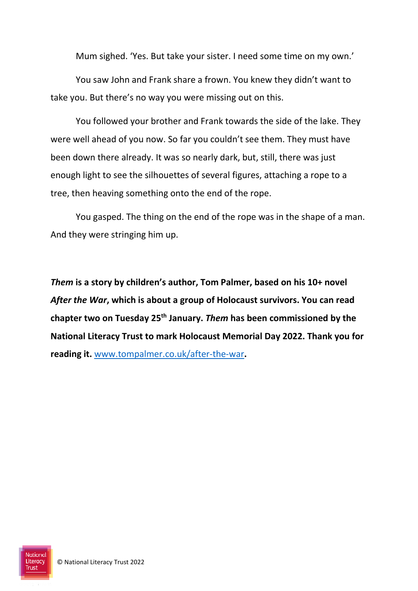Mum sighed. 'Yes. But take your sister. I need some time on my own.'

You saw John and Frank share a frown. You knew they didn't want to take you. But there's no way you were missing out on this.

You followed your brother and Frank towards the side of the lake. They were well ahead of you now. So far you couldn't see them. They must have been down there already. It was so nearly dark, but, still, there was just enough light to see the silhouettes of several figures, attaching a rope to a tree, then heaving something onto the end of the rope.

You gasped. The thing on the end of the rope was in the shape of a man. And they were stringing him up.

*Them* **is a story by children's author, Tom Palmer, based on his 10+ novel**  *After the War***, which is about a group of Holocaust survivors. You can read chapter two on Tuesday 25th January.** *Them* **has been commissioned by the National Literacy Trust to mark Holocaust Memorial Day 2022. Thank you for reading it.** [www.tompalmer.co.uk/after-the-war](http://www.tompalmer.co.uk/after-the-war)**.** 

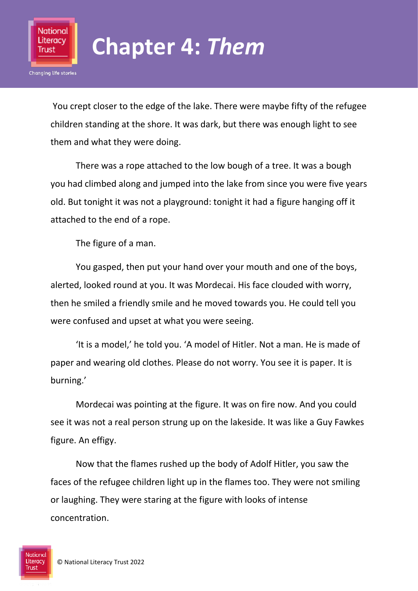

### **Chapter 4:** *Them*

You crept closer to the edge of the lake. There were maybe fifty of the refugee children standing at the shore. It was dark, but there was enough light to see them and what they were doing.

There was a rope attached to the low bough of a tree. It was a bough you had climbed along and jumped into the lake from since you were five years old. But tonight it was not a playground: tonight it had a figure hanging off it attached to the end of a rope.

The figure of a man.

You gasped, then put your hand over your mouth and one of the boys, alerted, looked round at you. It was Mordecai. His face clouded with worry, then he smiled a friendly smile and he moved towards you. He could tell you were confused and upset at what you were seeing.

'It is a model,' he told you. 'A model of Hitler. Not a man. He is made of paper and wearing old clothes. Please do not worry. You see it is paper. It is burning.'

Mordecai was pointing at the figure. It was on fire now. And you could see it was not a real person strung up on the lakeside. It was like a Guy Fawkes figure. An effigy.

Now that the flames rushed up the body of Adolf Hitler, you saw the faces of the refugee children light up in the flames too. They were not smiling or laughing. They were staring at the figure with looks of intense concentration.

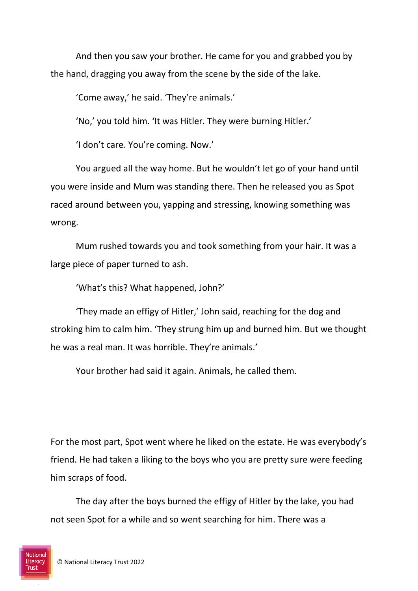And then you saw your brother. He came for you and grabbed you by the hand, dragging you away from the scene by the side of the lake.

'Come away,' he said. 'They're animals.'

'No,' you told him. 'It was Hitler. They were burning Hitler.'

'I don't care. You're coming. Now.'

You argued all the way home. But he wouldn't let go of your hand until you were inside and Mum was standing there. Then he released you as Spot raced around between you, yapping and stressing, knowing something was wrong.

Mum rushed towards you and took something from your hair. It was a large piece of paper turned to ash.

'What's this? What happened, John?'

'They made an effigy of Hitler,' John said, reaching for the dog and stroking him to calm him. 'They strung him up and burned him. But we thought he was a real man. It was horrible. They're animals.'

Your brother had said it again. Animals, he called them.

For the most part, Spot went where he liked on the estate. He was everybody's friend. He had taken a liking to the boys who you are pretty sure were feeding him scraps of food.

The day after the boys burned the effigy of Hitler by the lake, you had not seen Spot for a while and so went searching for him. There was a

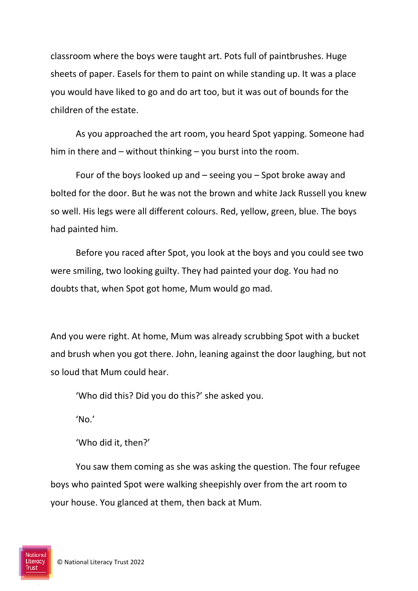classroom where the boys were taught art. Pots full of paintbrushes. Huge sheets of paper. Easels for them to paint on while standing up. It was a place you would have liked to go and do art too, but it was out of bounds for the children of the estate.

As you approached the art room, you heard Spot yapping. Someone had him in there and – without thinking – you burst into the room.

Four of the boys looked up and – seeing you – Spot broke away and bolted for the door. But he was not the brown and white Jack Russell you knew so well. His legs were all different colours. Red, yellow, green, blue. The boys had painted him.

Before you raced after Spot, you look at the boys and you could see two were smiling, two looking guilty. They had painted your dog. You had no doubts that, when Spot got home, Mum would go mad.

And you were right. At home, Mum was already scrubbing Spot with a bucket and brush when you got there. John, leaning against the door laughing, but not so loud that Mum could hear.

'Who did this? Did you do this?' she asked you.

'No.'

'Who did it, then?'

You saw them coming as she was asking the question. The four refugee boys who painted Spot were walking sheepishly over from the art room to your house. You glanced at them, then back at Mum.

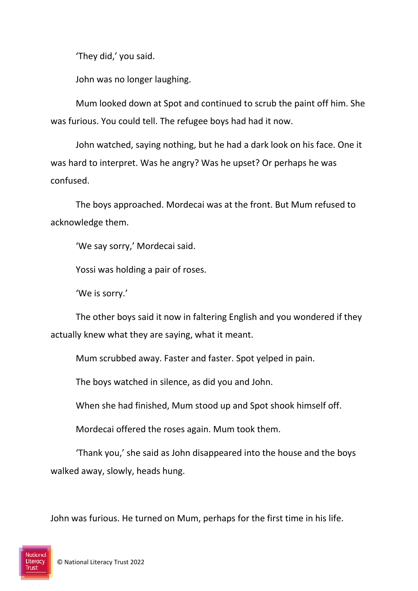'They did,' you said.

John was no longer laughing.

Mum looked down at Spot and continued to scrub the paint off him. She was furious. You could tell. The refugee boys had had it now.

John watched, saying nothing, but he had a dark look on his face. One it was hard to interpret. Was he angry? Was he upset? Or perhaps he was confused.

The boys approached. Mordecai was at the front. But Mum refused to acknowledge them.

'We say sorry,' Mordecai said.

Yossi was holding a pair of roses.

'We is sorry.'

The other boys said it now in faltering English and you wondered if they actually knew what they are saying, what it meant.

Mum scrubbed away. Faster and faster. Spot yelped in pain.

The boys watched in silence, as did you and John.

When she had finished, Mum stood up and Spot shook himself off.

Mordecai offered the roses again. Mum took them.

'Thank you,' she said as John disappeared into the house and the boys walked away, slowly, heads hung.

John was furious. He turned on Mum, perhaps for the first time in his life.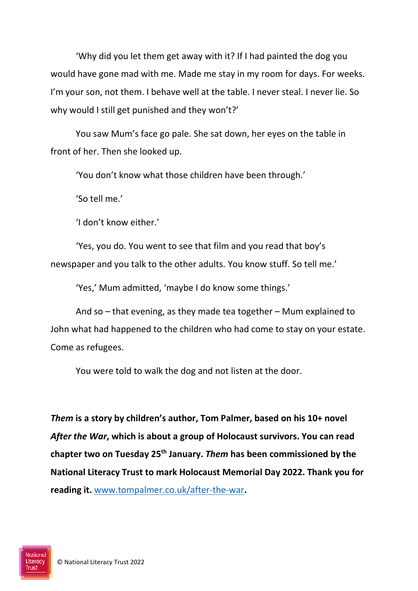'Why did you let them get away with it? If I had painted the dog you would have gone mad with me. Made me stay in my room for days. For weeks. I'm your son, not them. I behave well at the table. I never steal. I never lie. So why would I still get punished and they won't?'

You saw Mum's face go pale. She sat down, her eyes on the table in front of her. Then she looked up.

'You don't know what those children have been through.'

'So tell me.'

'I don't know either.'

'Yes, you do. You went to see that film and you read that boy's newspaper and you talk to the other adults. You know stuff. So tell me.'

'Yes,' Mum admitted, 'maybe I do know some things.'

And so – that evening, as they made tea together – Mum explained to John what had happened to the children who had come to stay on your estate. Come as refugees.

You were told to walk the dog and not listen at the door.

*Them* **is a story by children's author, Tom Palmer, based on his 10+ novel**  *After the War***, which is about a group of Holocaust survivors. You can read chapter two on Tuesday 25th January.** *Them* **has been commissioned by the National Literacy Trust to mark Holocaust Memorial Day 2022. Thank you for reading it.** [www.tompalmer.co.uk/after-the-war](http://www.tompalmer.co.uk/after-the-war)**.** 

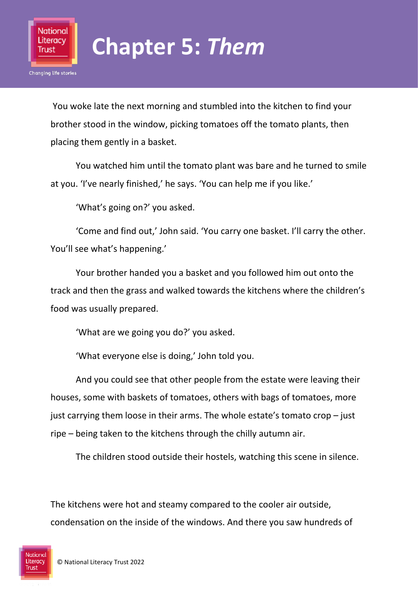

You woke late the next morning and stumbled into the kitchen to find your brother stood in the window, picking tomatoes off the tomato plants, then placing them gently in a basket.

You watched him until the tomato plant was bare and he turned to smile at you. 'I've nearly finished,' he says. 'You can help me if you like.'

'What's going on?' you asked.

National Literacy Trust

**Changing life stories** 

'Come and find out,' John said. 'You carry one basket. I'll carry the other. You'll see what's happening.'

Your brother handed you a basket and you followed him out onto the track and then the grass and walked towards the kitchens where the children's food was usually prepared.

'What are we going you do?' you asked.

'What everyone else is doing,' John told you.

And you could see that other people from the estate were leaving their houses, some with baskets of tomatoes, others with bags of tomatoes, more just carrying them loose in their arms. The whole estate's tomato crop – just ripe – being taken to the kitchens through the chilly autumn air.

The children stood outside their hostels, watching this scene in silence.

The kitchens were hot and steamy compared to the cooler air outside, condensation on the inside of the windows. And there you saw hundreds of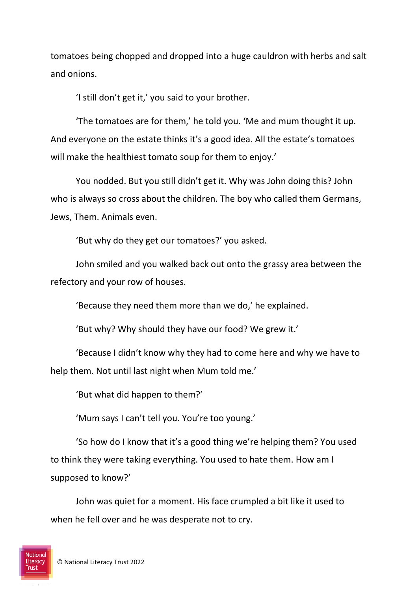tomatoes being chopped and dropped into a huge cauldron with herbs and salt and onions.

'I still don't get it,' you said to your brother.

'The tomatoes are for them,' he told you. 'Me and mum thought it up. And everyone on the estate thinks it's a good idea. All the estate's tomatoes will make the healthiest tomato soup for them to enjoy.'

You nodded. But you still didn't get it. Why was John doing this? John who is always so cross about the children. The boy who called them Germans, Jews, Them. Animals even.

'But why do they get our tomatoes?' you asked.

John smiled and you walked back out onto the grassy area between the refectory and your row of houses.

'Because they need them more than we do,' he explained.

'But why? Why should they have our food? We grew it.'

'Because I didn't know why they had to come here and why we have to help them. Not until last night when Mum told me.'

'But what did happen to them?'

'Mum says I can't tell you. You're too young.'

'So how do I know that it's a good thing we're helping them? You used to think they were taking everything. You used to hate them. How am I supposed to know?'

John was quiet for a moment. His face crumpled a bit like it used to when he fell over and he was desperate not to cry.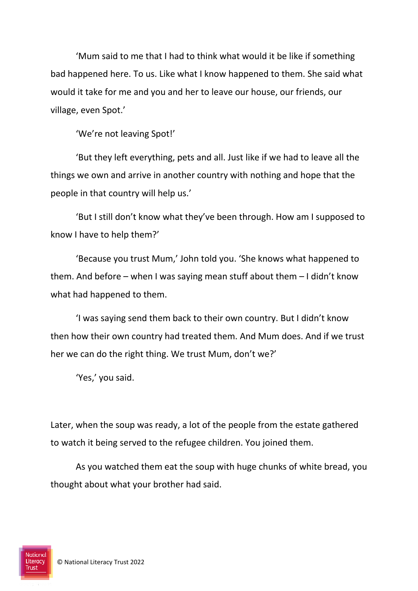'Mum said to me that I had to think what would it be like if something bad happened here. To us. Like what I know happened to them. She said what would it take for me and you and her to leave our house, our friends, our village, even Spot.'

'We're not leaving Spot!'

'But they left everything, pets and all. Just like if we had to leave all the things we own and arrive in another country with nothing and hope that the people in that country will help us.'

'But I still don't know what they've been through. How am I supposed to know I have to help them?'

'Because you trust Mum,' John told you. 'She knows what happened to them. And before – when I was saying mean stuff about them – I didn't know what had happened to them.

'I was saying send them back to their own country. But I didn't know then how their own country had treated them. And Mum does. And if we trust her we can do the right thing. We trust Mum, don't we?'

'Yes,' you said.

Later, when the soup was ready, a lot of the people from the estate gathered to watch it being served to the refugee children. You joined them.

As you watched them eat the soup with huge chunks of white bread, you thought about what your brother had said.

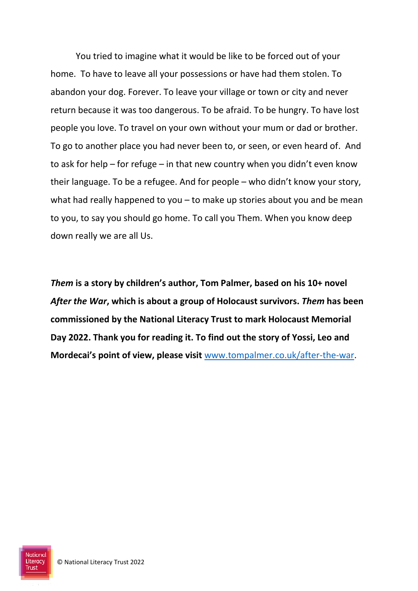You tried to imagine what it would be like to be forced out of your home. To have to leave all your possessions or have had them stolen. To abandon your dog. Forever. To leave your village or town or city and never return because it was too dangerous. To be afraid. To be hungry. To have lost people you love. To travel on your own without your mum or dad or brother. To go to another place you had never been to, or seen, or even heard of. And to ask for help – for refuge – in that new country when you didn't even know their language. To be a refugee. And for people – who didn't know your story, what had really happened to you – to make up stories about you and be mean to you, to say you should go home. To call you Them. When you know deep down really we are all Us.

*Them* **is a story by children's author, Tom Palmer, based on his 10+ novel**  *After the War***, which is about a group of Holocaust survivors.** *Them* **has been commissioned by the National Literacy Trust to mark Holocaust Memorial Day 2022. Thank you for reading it. To find out the story of Yossi, Leo and Mordecai's point of view, please visit** [www.tompalmer.co.uk/after-the-war.](http://www.tompalmer.co.uk/after-the-war)